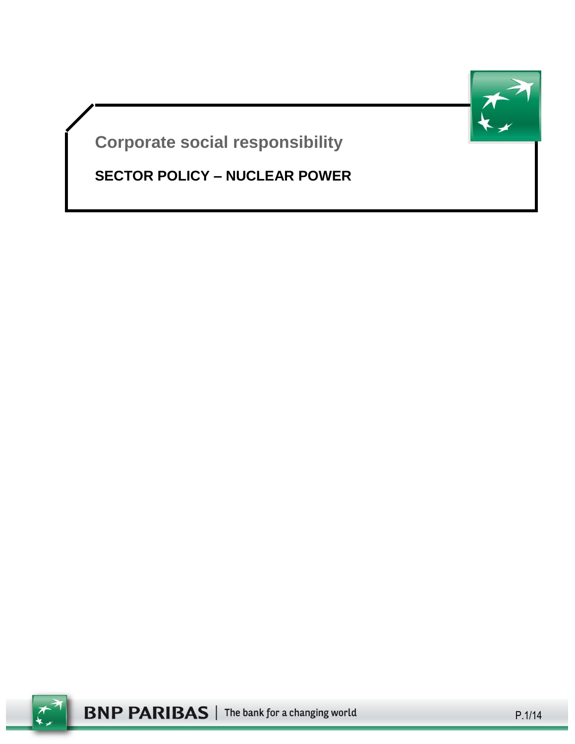

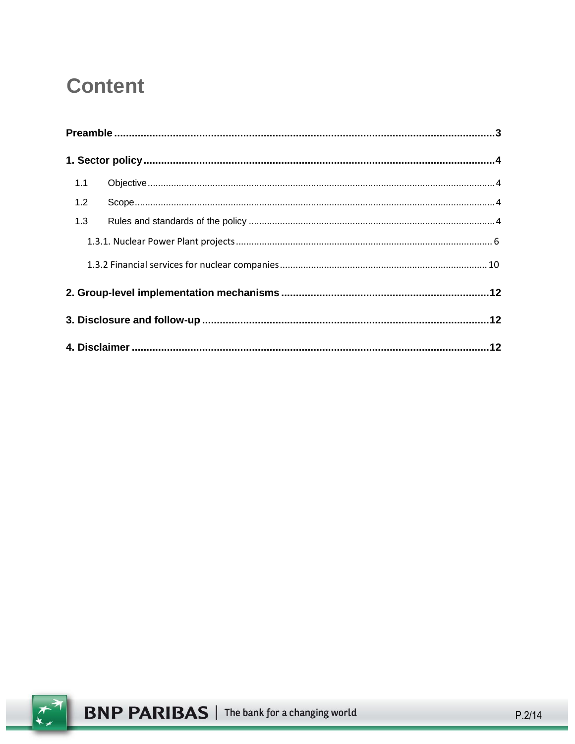# **Content**

| 1.1 |  |  |  |
|-----|--|--|--|
| 1.2 |  |  |  |
| 1.3 |  |  |  |
|     |  |  |  |
|     |  |  |  |
|     |  |  |  |
|     |  |  |  |
|     |  |  |  |

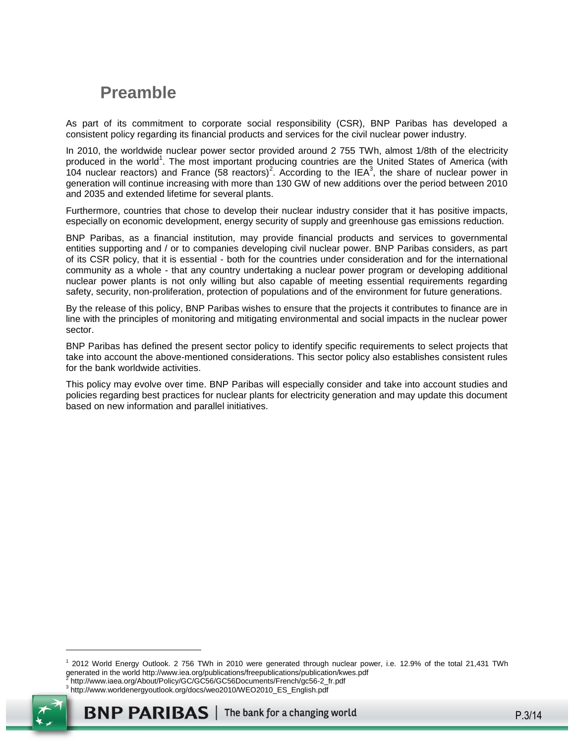# <span id="page-2-0"></span>**Preamble**

As part of its commitment to corporate social responsibility (CSR), BNP Paribas has developed a consistent policy regarding its financial products and services for the civil nuclear power industry.

In 2010, the worldwide nuclear power sector provided around 2 755 TWh, almost 1/8th of the electricity produced in the world<sup>1</sup>. The most important producing countries are the United States of America (with 104 nuclear reactors) and France (58 reactors)<sup>2</sup>. According to the IEA<sup>3</sup>, the share of nuclear power in generation will continue increasing with more than 130 GW of new additions over the period between 2010 and 2035 and extended lifetime for several plants.

Furthermore, countries that chose to develop their nuclear industry consider that it has positive impacts, especially on economic development, energy security of supply and greenhouse gas emissions reduction.

BNP Paribas, as a financial institution, may provide financial products and services to governmental entities supporting and / or to companies developing civil nuclear power. BNP Paribas considers, as part of its CSR policy, that it is essential - both for the countries under consideration and for the international community as a whole - that any country undertaking a nuclear power program or developing additional nuclear power plants is not only willing but also capable of meeting essential requirements regarding safety, security, non-proliferation, protection of populations and of the environment for future generations.

By the release of this policy, BNP Paribas wishes to ensure that the projects it contributes to finance are in line with the principles of monitoring and mitigating environmental and social impacts in the nuclear power sector.

BNP Paribas has defined the present sector policy to identify specific requirements to select projects that take into account the above-mentioned considerations. This sector policy also establishes consistent rules for the bank worldwide activities.

This policy may evolve over time. BNP Paribas will especially consider and take into account studies and policies regarding best practices for nuclear plants for electricity generation and may update this document based on new information and parallel initiatives.

<sup>1</sup> 2012 World Energy Outlook. 2 756 TWh in 2010 were generated through nuclear power, i.e. 12.9% of the total 21,431 TWh generated in the worl[d http://www.iea.org/publications/freepublications/publication/kwes.pdf](http://www.iea.org/publications/freepublications/publication/kwes.pdf)<br><sup>2</sup> http://www.joos.org/About/Poliov/CC/CCE6/CCE6Documente/Erepebl*oo*56.2, fr.pdf http://www.iaea.org/About/Policy/GC/GC56/GC56Documents/French/gc56-2\_fr.pdf

<sup>3</sup> http://www.worldenergyoutlook.org/docs/weo2010/WEO2010\_ES\_English.pdf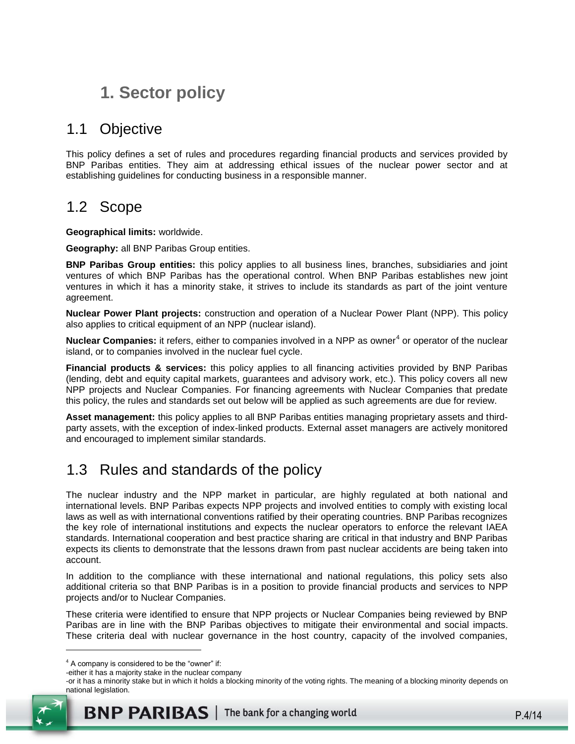# <span id="page-3-0"></span>**1. Sector policy**

## <span id="page-3-1"></span>1.1 Objective

This policy defines a set of rules and procedures regarding financial products and services provided by BNP Paribas entities. They aim at addressing ethical issues of the nuclear power sector and at establishing guidelines for conducting business in a responsible manner.

## <span id="page-3-2"></span>1.2 Scope

**Geographical limits:** worldwide.

**Geography:** all BNP Paribas Group entities.

**BNP Paribas Group entities:** this policy applies to all business lines, branches, subsidiaries and joint ventures of which BNP Paribas has the operational control. When BNP Paribas establishes new joint ventures in which it has a minority stake, it strives to include its standards as part of the joint venture agreement.

**Nuclear Power Plant projects:** construction and operation of a Nuclear Power Plant (NPP). This policy also applies to critical equipment of an NPP (nuclear island).

Nuclear Companies: it refers, either to companies involved in a NPP as owner<sup>4</sup> or operator of the nuclear island, or to companies involved in the nuclear fuel cycle.

**Financial products & services:** this policy applies to all financing activities provided by BNP Paribas (lending, debt and equity capital markets, guarantees and advisory work, etc.). This policy covers all new NPP projects and Nuclear Companies. For financing agreements with Nuclear Companies that predate this policy, the rules and standards set out below will be applied as such agreements are due for review.

**Asset management:** this policy applies to all BNP Paribas entities managing proprietary assets and thirdparty assets, with the exception of index-linked products. External asset managers are actively monitored and encouraged to implement similar standards.

## <span id="page-3-3"></span>1.3 Rules and standards of the policy

The nuclear industry and the NPP market in particular, are highly regulated at both national and international levels. BNP Paribas expects NPP projects and involved entities to comply with existing local laws as well as with international conventions ratified by their operating countries. BNP Paribas recognizes the key role of international institutions and expects the nuclear operators to enforce the relevant IAEA standards. International cooperation and best practice sharing are critical in that industry and BNP Paribas expects its clients to demonstrate that the lessons drawn from past nuclear accidents are being taken into account.

In addition to the compliance with these international and national regulations, this policy sets also additional criteria so that BNP Paribas is in a position to provide financial products and services to NPP projects and/or to Nuclear Companies.

These criteria were identified to ensure that NPP projects or Nuclear Companies being reviewed by BNP Paribas are in line with the BNP Paribas objectives to mitigate their environmental and social impacts. These criteria deal with nuclear governance in the host country, capacity of the involved companies,

<sup>-</sup>or it has a minority stake but in which it holds a blocking minority of the voting rights. The meaning of a blocking minority depends on national legislation.



 $4$  A company is considered to be the "owner" if:

<sup>-</sup>either it has a majority stake in the nuclear company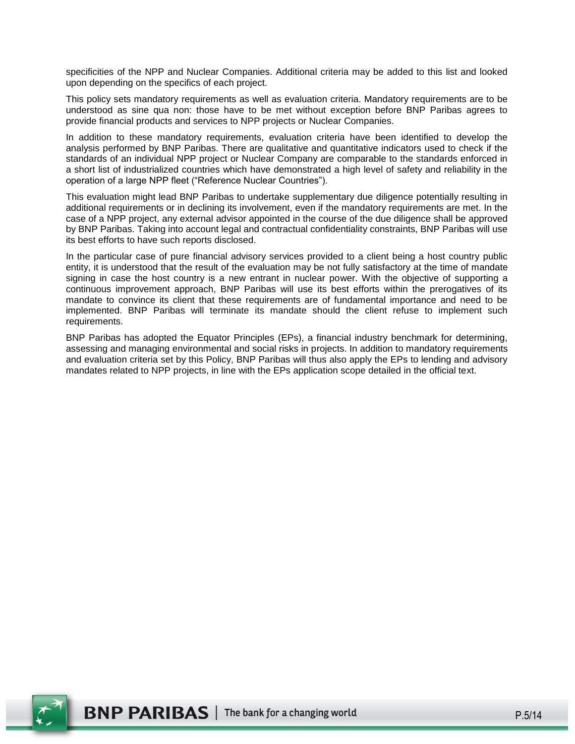specificities of the NPP and Nuclear Companies. Additional criteria may be added to this list and looked upon depending on the specifics of each project.

This policy sets mandatory requirements as well as evaluation criteria. Mandatory requirements are to be understood as sine qua non: those have to be met without exception before BNP Paribas agrees to provide financial products and services to NPP projects or Nuclear Companies.

In addition to these mandatory requirements, evaluation criteria have been identified to develop the analysis performed by BNP Paribas. There are qualitative and quantitative indicators used to check if the standards of an individual NPP project or Nuclear Company are comparable to the standards enforced in a short list of industrialized countries which have demonstrated a high level of safety and reliability in the operation of a large NPP fleet ("Reference Nuclear Countries").

This evaluation might lead BNP Paribas to undertake supplementary due diligence potentially resulting in additional requirements or in declining its involvement, even if the mandatory requirements are met. In the case of a NPP project, any external advisor appointed in the course of the due diligence shall be approved by BNP Paribas. Taking into account legal and contractual confidentiality constraints, BNP Paribas will use its best efforts to have such reports disclosed.

In the particular case of pure financial advisory services provided to a client being a host country public entity, it is understood that the result of the evaluation may be not fully satisfactory at the time of mandate signing in case the host country is a new entrant in nuclear power. With the objective of supporting a continuous improvement approach, BNP Paribas will use its best efforts within the prerogatives of its mandate to convince its client that these requirements are of fundamental importance and need to be implemented. BNP Paribas will terminate its mandate should the client refuse to implement such requirements.

BNP Paribas has adopted the Equator Principles (EPs), a financial industry benchmark for determining, assessing and managing environmental and social risks in projects. In addition to mandatory requirements and evaluation criteria set by this Policy, BNP Paribas will thus also apply the EPs to lending and advisory mandates related to NPP projects, in line with the EPs application scope detailed in the official text.

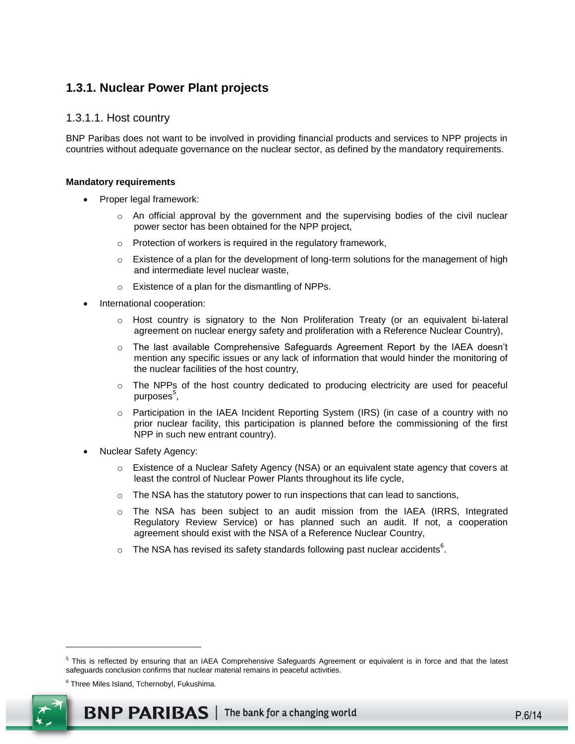### <span id="page-5-0"></span>**1.3.1. Nuclear Power Plant projects**

#### 1.3.1.1. Host country

BNP Paribas does not want to be involved in providing financial products and services to NPP projects in countries without adequate governance on the nuclear sector, as defined by the mandatory requirements.

#### **Mandatory requirements**

- Proper legal framework:
	- $\circ$  An official approval by the government and the supervising bodies of the civil nuclear power sector has been obtained for the NPP project,
	- o Protection of workers is required in the regulatory framework,
	- $\circ$  Existence of a plan for the development of long-term solutions for the management of high and intermediate level nuclear waste,
	- o Existence of a plan for the dismantling of NPPs.
- International cooperation:
	- o Host country is signatory to the Non Proliferation Treaty (or an equivalent bi-lateral agreement on nuclear energy safety and proliferation with a Reference Nuclear Country),
	- o The last available Comprehensive Safeguards Agreement Report by the IAEA doesn't mention any specific issues or any lack of information that would hinder the monitoring of the nuclear facilities of the host country,
	- o The NPPs of the host country dedicated to producing electricity are used for peaceful purposes<sup>5</sup>,
	- o Participation in the IAEA Incident Reporting System (IRS) (in case of a country with no prior nuclear facility, this participation is planned before the commissioning of the first NPP in such new entrant country).
- Nuclear Safety Agency:
	- o Existence of a Nuclear Safety Agency (NSA) or an equivalent state agency that covers at least the control of Nuclear Power Plants throughout its life cycle,
	- o The NSA has the statutory power to run inspections that can lead to sanctions,
	- o The NSA has been subject to an audit mission from the IAEA (IRRS, Integrated Regulatory Review Service) or has planned such an audit. If not, a cooperation agreement should exist with the NSA of a Reference Nuclear Country,
	- $\circ$  The NSA has revised its safety standards following past nuclear accidents<sup>6</sup>.

<sup>6</sup> Three Miles Island, Tchernobyl, Fukushima.



<sup>&</sup>lt;sup>5</sup> This is reflected by ensuring that an IAEA Comprehensive Safeguards Agreement or equivalent is in force and that the latest safeguards conclusion confirms that nuclear material remains in peaceful activities.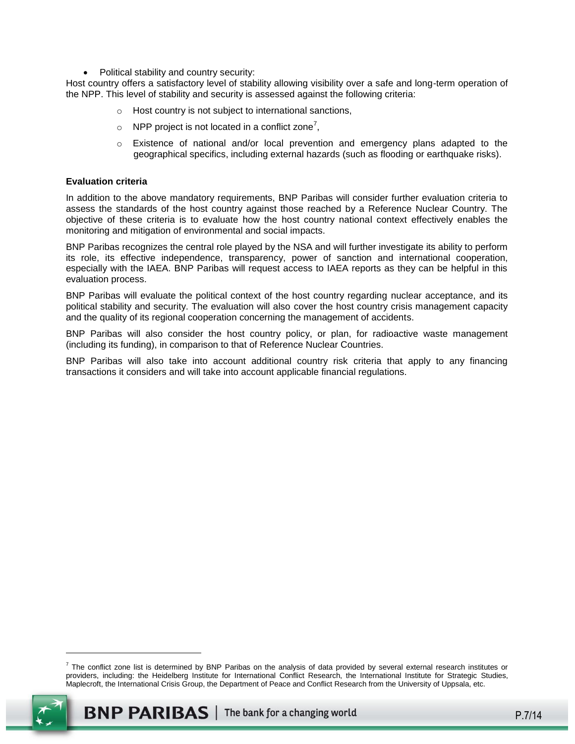Political stability and country security:

Host country offers a satisfactory level of stability allowing visibility over a safe and long-term operation of the NPP. This level of stability and security is assessed against the following criteria:

- o Host country is not subject to international sanctions,
- $\circ$  NPP project is not located in a conflict zone<sup>7</sup>,
- $\circ$  Existence of national and/or local prevention and emergency plans adapted to the geographical specifics, including external hazards (such as flooding or earthquake risks).

#### **Evaluation criteria**

In addition to the above mandatory requirements, BNP Paribas will consider further evaluation criteria to assess the standards of the host country against those reached by a Reference Nuclear Country. The objective of these criteria is to evaluate how the host country national context effectively enables the monitoring and mitigation of environmental and social impacts.

BNP Paribas recognizes the central role played by the NSA and will further investigate its ability to perform its role, its effective independence, transparency, power of sanction and international cooperation, especially with the IAEA. BNP Paribas will request access to IAEA reports as they can be helpful in this evaluation process.

BNP Paribas will evaluate the political context of the host country regarding nuclear acceptance, and its political stability and security. The evaluation will also cover the host country crisis management capacity and the quality of its regional cooperation concerning the management of accidents.

BNP Paribas will also consider the host country policy, or plan, for radioactive waste management (including its funding), in comparison to that of Reference Nuclear Countries.

BNP Paribas will also take into account additional country risk criteria that apply to any financing transactions it considers and will take into account applicable financial regulations.

 $^7$  The conflict zone list is determined by BNP Paribas on the analysis of data provided by several external research institutes or providers, including: the Heidelberg Institute for International Conflict Research, the International Institute for Strategic Studies, Maplecroft, the International Crisis Group, the Department of Peace and Conflict Research from the University of Uppsala, etc.

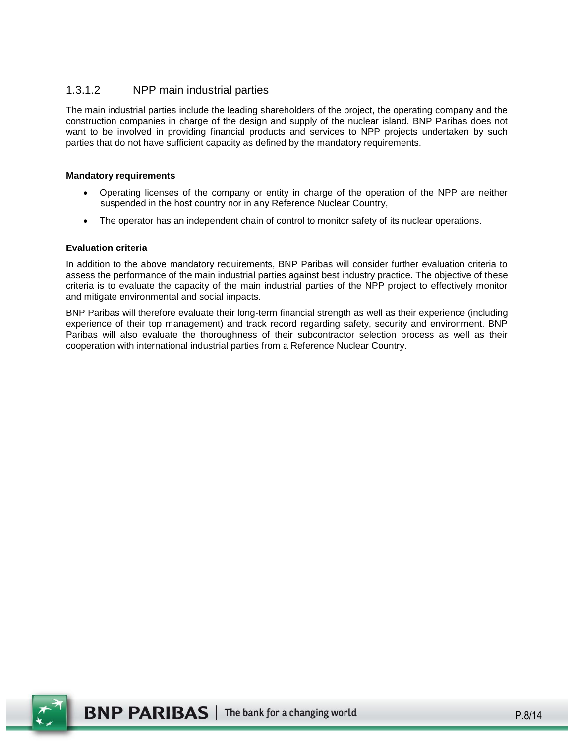### 1.3.1.2 NPP main industrial parties

The main industrial parties include the leading shareholders of the project, the operating company and the construction companies in charge of the design and supply of the nuclear island. BNP Paribas does not want to be involved in providing financial products and services to NPP projects undertaken by such parties that do not have sufficient capacity as defined by the mandatory requirements.

#### **Mandatory requirements**

- Operating licenses of the company or entity in charge of the operation of the NPP are neither suspended in the host country nor in any Reference Nuclear Country,
- The operator has an independent chain of control to monitor safety of its nuclear operations.

#### **Evaluation criteria**

In addition to the above mandatory requirements, BNP Paribas will consider further evaluation criteria to assess the performance of the main industrial parties against best industry practice. The objective of these criteria is to evaluate the capacity of the main industrial parties of the NPP project to effectively monitor and mitigate environmental and social impacts.

BNP Paribas will therefore evaluate their long-term financial strength as well as their experience (including experience of their top management) and track record regarding safety, security and environment. BNP Paribas will also evaluate the thoroughness of their subcontractor selection process as well as their cooperation with international industrial parties from a Reference Nuclear Country.

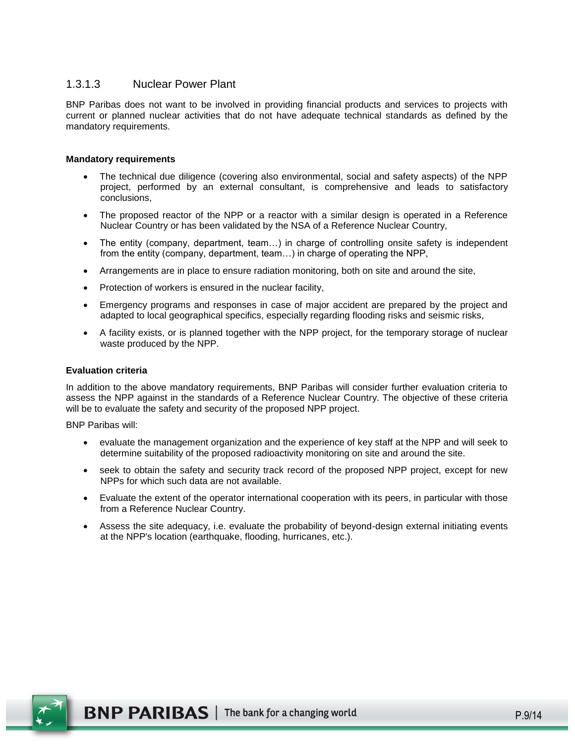### 1.3.1.3 Nuclear Power Plant

BNP Paribas does not want to be involved in providing financial products and services to projects with current or planned nuclear activities that do not have adequate technical standards as defined by the mandatory requirements.

#### **Mandatory requirements**

- The technical due diligence (covering also environmental, social and safety aspects) of the NPP project, performed by an external consultant, is comprehensive and leads to satisfactory conclusions,
- The proposed reactor of the NPP or a reactor with a similar design is operated in a Reference Nuclear Country or has been validated by the NSA of a Reference Nuclear Country,
- The entity (company, department, team…) in charge of controlling onsite safety is independent from the entity (company, department, team…) in charge of operating the NPP,
- Arrangements are in place to ensure radiation monitoring, both on site and around the site,
- Protection of workers is ensured in the nuclear facility,
- Emergency programs and responses in case of major accident are prepared by the project and adapted to local geographical specifics, especially regarding flooding risks and seismic risks,
- A facility exists, or is planned together with the NPP project, for the temporary storage of nuclear waste produced by the NPP.

#### **Evaluation criteria**

In addition to the above mandatory requirements, BNP Paribas will consider further evaluation criteria to assess the NPP against in the standards of a Reference Nuclear Country. The objective of these criteria will be to evaluate the safety and security of the proposed NPP project.

BNP Paribas will:

- evaluate the management organization and the experience of key staff at the NPP and will seek to determine suitability of the proposed radioactivity monitoring on site and around the site.
- seek to obtain the safety and security track record of the proposed NPP project, except for new NPPs for which such data are not available.
- Evaluate the extent of the operator international cooperation with its peers, in particular with those from a Reference Nuclear Country.
- Assess the site adequacy, i.e. evaluate the probability of beyond-design external initiating events at the NPP's location (earthquake, flooding, hurricanes, etc.).

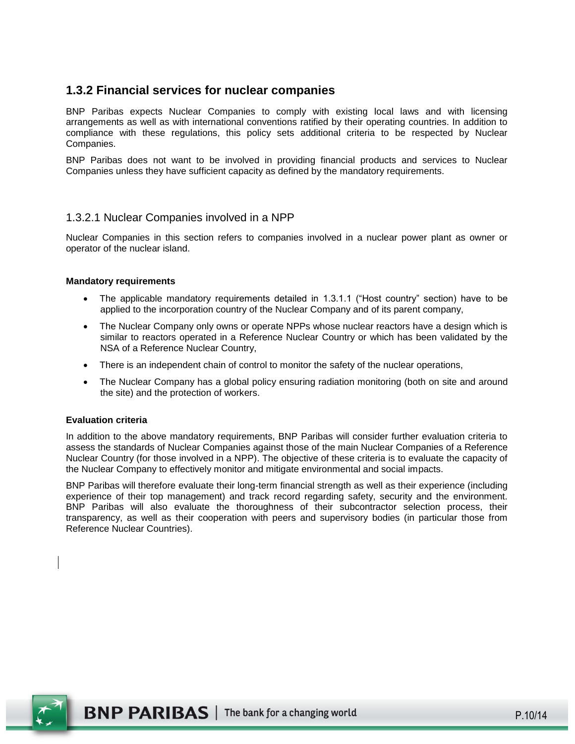### <span id="page-9-0"></span>**1.3.2 Financial services for nuclear companies**

BNP Paribas expects Nuclear Companies to comply with existing local laws and with licensing arrangements as well as with international conventions ratified by their operating countries. In addition to compliance with these regulations, this policy sets additional criteria to be respected by Nuclear Companies.

BNP Paribas does not want to be involved in providing financial products and services to Nuclear Companies unless they have sufficient capacity as defined by the mandatory requirements.

#### 1.3.2.1 Nuclear Companies involved in a NPP

Nuclear Companies in this section refers to companies involved in a nuclear power plant as owner or operator of the nuclear island.

#### **Mandatory requirements**

- The applicable mandatory requirements detailed in 1.3.1.1 ("Host country" section) have to be applied to the incorporation country of the Nuclear Company and of its parent company,
- The Nuclear Company only owns or operate NPPs whose nuclear reactors have a design which is similar to reactors operated in a Reference Nuclear Country or which has been validated by the NSA of a Reference Nuclear Country,
- There is an independent chain of control to monitor the safety of the nuclear operations,
- The Nuclear Company has a global policy ensuring radiation monitoring (both on site and around the site) and the protection of workers.

#### **Evaluation criteria**

In addition to the above mandatory requirements, BNP Paribas will consider further evaluation criteria to assess the standards of Nuclear Companies against those of the main Nuclear Companies of a Reference Nuclear Country (for those involved in a NPP). The objective of these criteria is to evaluate the capacity of the Nuclear Company to effectively monitor and mitigate environmental and social impacts.

BNP Paribas will therefore evaluate their long-term financial strength as well as their experience (including experience of their top management) and track record regarding safety, security and the environment. BNP Paribas will also evaluate the thoroughness of their subcontractor selection process, their transparency, as well as their cooperation with peers and supervisory bodies (in particular those from Reference Nuclear Countries).

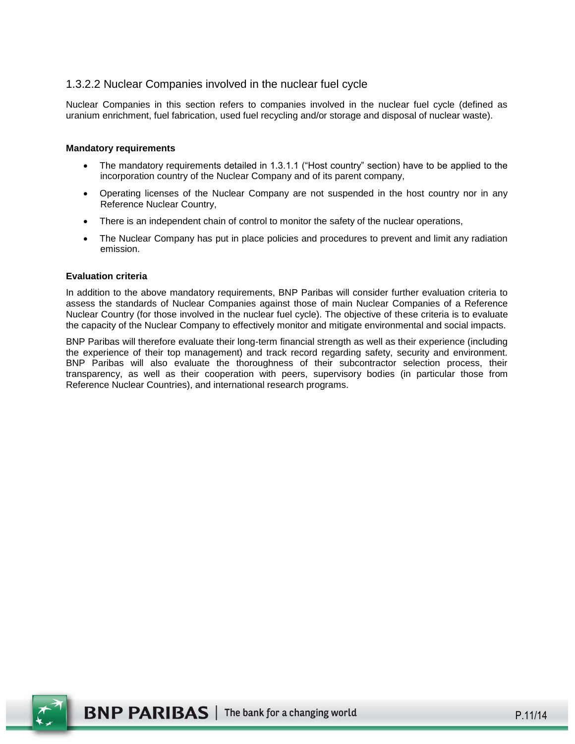### 1.3.2.2 Nuclear Companies involved in the nuclear fuel cycle

Nuclear Companies in this section refers to companies involved in the nuclear fuel cycle (defined as uranium enrichment, fuel fabrication, used fuel recycling and/or storage and disposal of nuclear waste).

#### **Mandatory requirements**

- The mandatory requirements detailed in 1.3.1.1 ("Host country" section) have to be applied to the incorporation country of the Nuclear Company and of its parent company,
- Operating licenses of the Nuclear Company are not suspended in the host country nor in any Reference Nuclear Country,
- There is an independent chain of control to monitor the safety of the nuclear operations,
- The Nuclear Company has put in place policies and procedures to prevent and limit any radiation emission.

#### **Evaluation criteria**

In addition to the above mandatory requirements, BNP Paribas will consider further evaluation criteria to assess the standards of Nuclear Companies against those of main Nuclear Companies of a Reference Nuclear Country (for those involved in the nuclear fuel cycle). The objective of these criteria is to evaluate the capacity of the Nuclear Company to effectively monitor and mitigate environmental and social impacts.

BNP Paribas will therefore evaluate their long-term financial strength as well as their experience (including the experience of their top management) and track record regarding safety, security and environment. BNP Paribas will also evaluate the thoroughness of their subcontractor selection process, their transparency, as well as their cooperation with peers, supervisory bodies (in particular those from Reference Nuclear Countries), and international research programs.

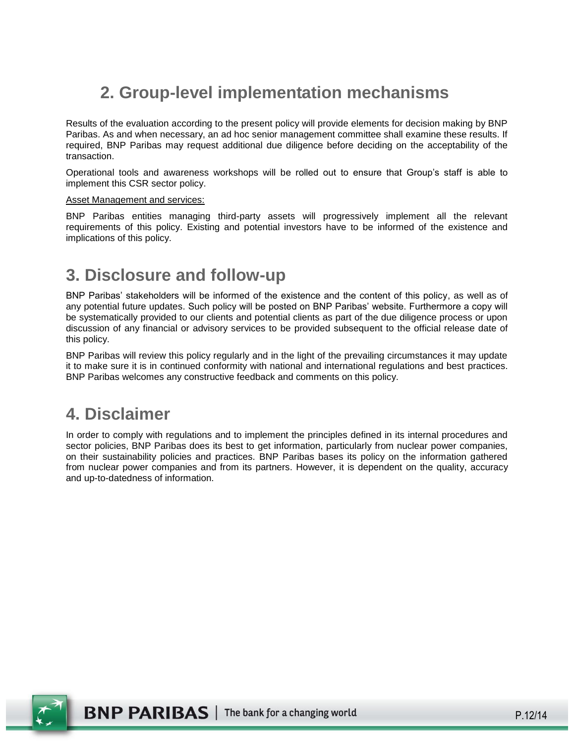# <span id="page-11-0"></span>**2. Group-level implementation mechanisms**

Results of the evaluation according to the present policy will provide elements for decision making by BNP Paribas. As and when necessary, an ad hoc senior management committee shall examine these results. If required, BNP Paribas may request additional due diligence before deciding on the acceptability of the transaction.

Operational tools and awareness workshops will be rolled out to ensure that Group's staff is able to implement this CSR sector policy.

#### Asset Management and services:

BNP Paribas entities managing third-party assets will progressively implement all the relevant requirements of this policy. Existing and potential investors have to be informed of the existence and implications of this policy.

## <span id="page-11-1"></span>**3. Disclosure and follow-up**

BNP Paribas' stakeholders will be informed of the existence and the content of this policy, as well as of any potential future updates. Such policy will be posted on BNP Paribas' website. Furthermore a copy will be systematically provided to our clients and potential clients as part of the due diligence process or upon discussion of any financial or advisory services to be provided subsequent to the official release date of this policy.

BNP Paribas will review this policy regularly and in the light of the prevailing circumstances it may update it to make sure it is in continued conformity with national and international regulations and best practices. BNP Paribas welcomes any constructive feedback and comments on this policy.

## <span id="page-11-2"></span>**4. Disclaimer**

In order to comply with regulations and to implement the principles defined in its internal procedures and sector policies, BNP Paribas does its best to get information, particularly from nuclear power companies, on their sustainability policies and practices. BNP Paribas bases its policy on the information gathered from nuclear power companies and from its partners. However, it is dependent on the quality, accuracy and up-to-datedness of information.

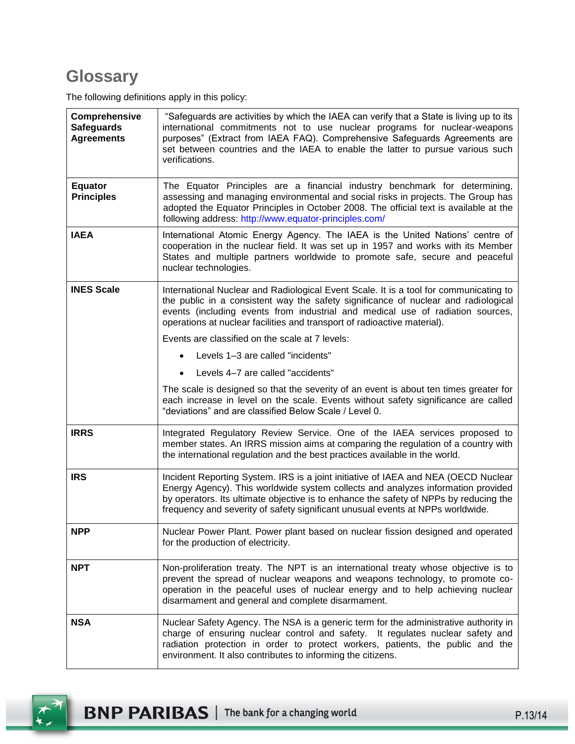# **Glossary**

The following definitions apply in this policy:

| Comprehensive<br><b>Safeguards</b><br><b>Agreements</b> | "Safeguards are activities by which the IAEA can verify that a State is living up to its<br>international commitments not to use nuclear programs for nuclear-weapons<br>purposes" (Extract from IAEA FAQ). Comprehensive Safeguards Agreements are<br>set between countries and the IAEA to enable the latter to pursue various such<br>verifications. |
|---------------------------------------------------------|---------------------------------------------------------------------------------------------------------------------------------------------------------------------------------------------------------------------------------------------------------------------------------------------------------------------------------------------------------|
| <b>Equator</b><br><b>Principles</b>                     | The Equator Principles are a financial industry benchmark for determining,<br>assessing and managing environmental and social risks in projects. The Group has<br>adopted the Equator Principles in October 2008. The official text is available at the<br>following address: http://www.equator-principles.com/                                        |
| <b>IAEA</b>                                             | International Atomic Energy Agency. The IAEA is the United Nations' centre of<br>cooperation in the nuclear field. It was set up in 1957 and works with its Member<br>States and multiple partners worldwide to promote safe, secure and peaceful<br>nuclear technologies.                                                                              |
| <b>INES Scale</b>                                       | International Nuclear and Radiological Event Scale. It is a tool for communicating to<br>the public in a consistent way the safety significance of nuclear and radiological<br>events (including events from industrial and medical use of radiation sources,<br>operations at nuclear facilities and transport of radioactive material).               |
|                                                         | Events are classified on the scale at 7 levels:                                                                                                                                                                                                                                                                                                         |
|                                                         | Levels 1-3 are called "incidents"                                                                                                                                                                                                                                                                                                                       |
|                                                         | Levels 4-7 are called "accidents"                                                                                                                                                                                                                                                                                                                       |
|                                                         | The scale is designed so that the severity of an event is about ten times greater for<br>each increase in level on the scale. Events without safety significance are called<br>"deviations" and are classified Below Scale / Level 0.                                                                                                                   |
| <b>IRRS</b>                                             | Integrated Regulatory Review Service. One of the IAEA services proposed to<br>member states. An IRRS mission aims at comparing the regulation of a country with<br>the international regulation and the best practices available in the world.                                                                                                          |
| <b>IRS</b>                                              | Incident Reporting System. IRS is a joint initiative of IAEA and NEA (OECD Nuclear<br>Energy Agency). This worldwide system collects and analyzes information provided<br>by operators. Its ultimate objective is to enhance the safety of NPPs by reducing the<br>frequency and severity of safety significant unusual events at NPPs worldwide.       |
| <b>NPP</b>                                              | Nuclear Power Plant. Power plant based on nuclear fission designed and operated<br>for the production of electricity.                                                                                                                                                                                                                                   |
| <b>NPT</b>                                              | Non-proliferation treaty. The NPT is an international treaty whose objective is to<br>prevent the spread of nuclear weapons and weapons technology, to promote co-<br>operation in the peaceful uses of nuclear energy and to help achieving nuclear<br>disarmament and general and complete disarmament.                                               |
| <b>NSA</b>                                              | Nuclear Safety Agency. The NSA is a generic term for the administrative authority in<br>charge of ensuring nuclear control and safety. It regulates nuclear safety and<br>radiation protection in order to protect workers, patients, the public and the<br>environment. It also contributes to informing the citizens.                                 |